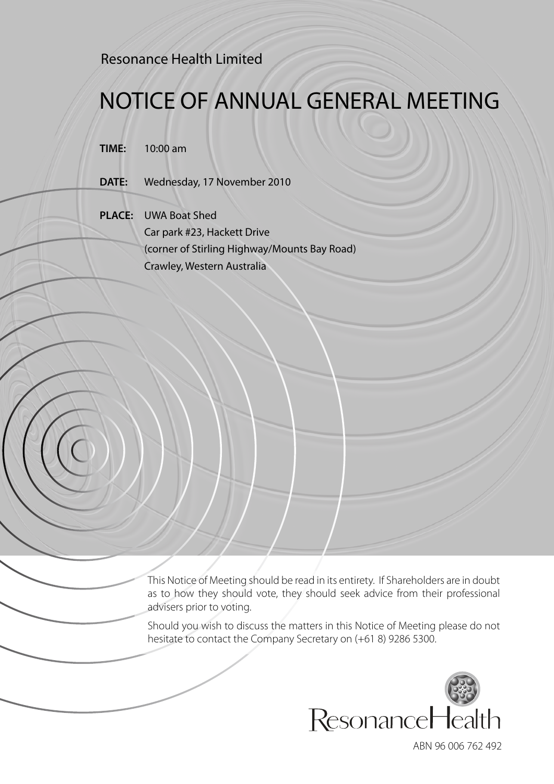Resonance Health Limited

# NOTICE OF ANNUAL GENERAL MEETING

**TIME:** 10:00 am

**DATE:** Wednesday, 17 November 2010

**PLACE:**  UWA Boat Shed Car park #23, Hackett Drive (corner of Stirling Highway/Mounts Bay Road) Crawley, Western Australia

> This Notice of Meeting should be read in its entirety. If Shareholders are in doubt as to how they should vote, they should seek advice from their professional advisers prior to voting.

> Should you wish to discuss the matters in this Notice of Meeting please do not hesitate to contact the Company Secretary on (+61 8) 9286 5300.



ABN 96 006 762 492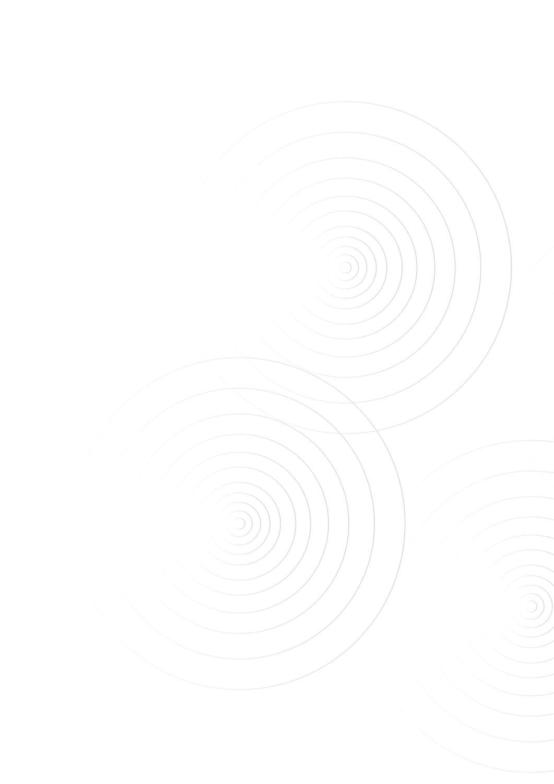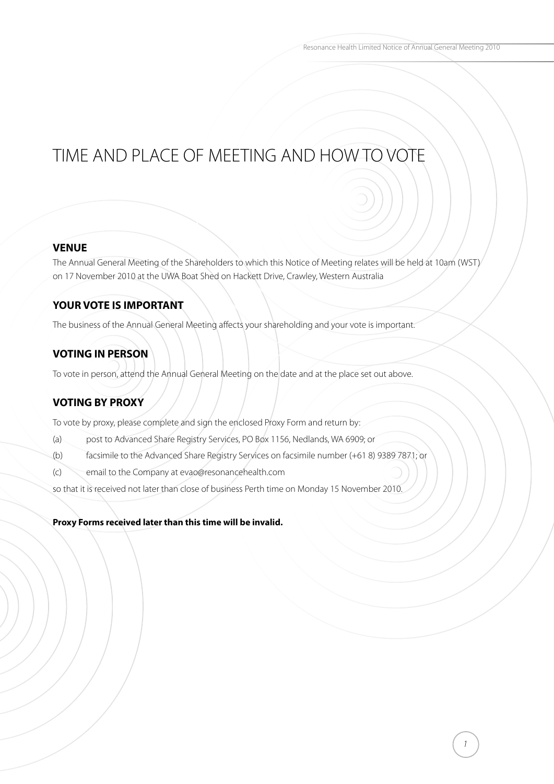# TIME AND PLACE OF MEETING AND HOW TO VOTE

# **VENUE**

The Annual General Meeting of the Shareholders to which this Notice of Meeting relates will be held at 10am (WST) on 17 November 2010 at the UWA Boat Shed on Hackett Drive, Crawley, Western Australia

# **YOUR VOTE IS IMPORTANT**

The business of the Annual General Meeting affects your shareholding and your vote is important.

# **VOTING IN PERSON**

To vote in person, attend the Annual General Meeting on the date and at the place set out above.

# **VOTING BY PROXY**

To vote by proxy, please complete and sign the enclosed Proxy Form and return by:

- (a) post to Advanced Share Registry Services, PO Box 1156, Nedlands, WA 6909; or
- (b) facsimile to the Advanced Share Registry Services on facsimile number (+61 8) 9389 7871; or
- (c) email to the Company at evao@resonancehealth.com

so that it is received not later than close of business Perth time on Monday 15 November 2010.

# **Proxy Forms received later than this time will be invalid.**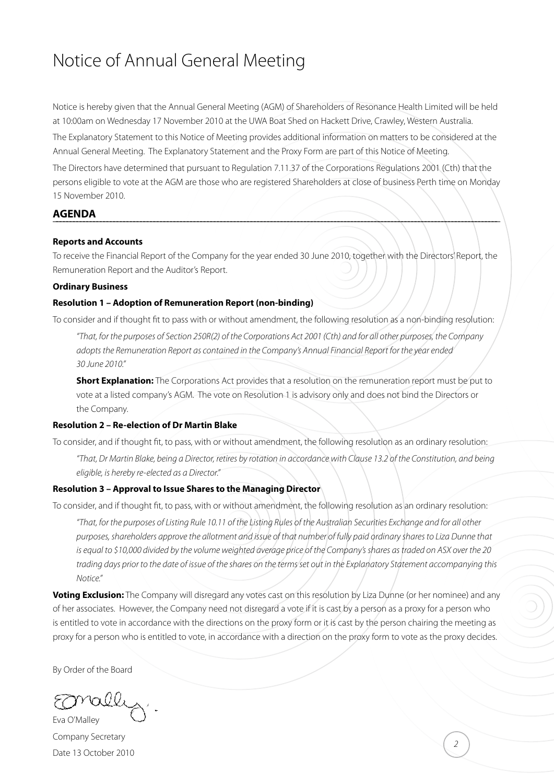# Notice of Annual General Meeting

Notice is hereby given that the Annual General Meeting (AGM) of Shareholders of Resonance Health Limited will be held at 10:00am on Wednesday 17 November 2010 at the UWA Boat Shed on Hackett Drive, Crawley, Western Australia.

The Explanatory Statement to this Notice of Meeting provides additional information on matters to be considered at the Annual General Meeting. The Explanatory Statement and the Proxy Form are part of this Notice of Meeting.

The Directors have determined that pursuant to Regulation 7.11.37 of the Corporations Regulations 2001 (Cth) that the persons eligible to vote at the AGM are those who are registered Shareholders at close of business Perth time on Monday 15 November 2010.

# **AGENDA \_\_\_\_\_\_\_\_\_\_\_\_\_\_\_\_\_\_\_\_\_\_\_\_\_\_\_\_\_\_\_\_\_\_\_\_\_\_\_\_\_\_\_\_\_\_\_\_\_\_\_\_\_\_\_\_\_\_\_\_\_\_\_\_\_\_\_\_\_\_\_\_\_\_\_\_\_\_\_\_\_\_\_\_\_\_\_\_\_\_\_\_\_\_\_\_\_\_\_\_\_\_\_\_\_\_\_\_\_\_\_\_\_\_\_\_\_\_\_\_\_\_\_\_\_\_\_\_\_\_\_\_\_**

### **Reports and Accounts**

To receive the Financial Report of the Company for the year ended 30 June 2010, together with the Directors' Report, the Remuneration Report and the Auditor's Report.

### **Ordinary Business**

### **Resolution 1 – Adoption of Remuneration Report (non-binding)**

To consider and if thought fit to pass with or without amendment, the following resolution as a non-binding resolution:

*"That, for the purposes of Section 250R(2) of the Corporations Act 2001 (Cth) and for all other purposes, the Company adopts the Remuneration Report as contained in the Company's Annual Financial Report for the year ended 30 June 2010."*

**Short Explanation:** The Corporations Act provides that a resolution on the remuneration report must be put to vote at a listed company's AGM. The vote on Resolution 1 is advisory only and does not bind the Directors or the Company.

# **Resolution 2 – Re-election of Dr Martin Blake**

To consider, and if thought fit, to pass, with or without amendment, the following resolution as an ordinary resolution:

*"That, Dr Martin Blake, being a Director, retires by rotation in accordance with Clause 13.2 of the Constitution, and being eligible, is hereby re-elected as a Director."*

# **Resolution 3 – Approval to Issue Shares to the Managing Director**

To consider, and if thought fit, to pass, with or without amendment, the following resolution as an ordinary resolution:

*"That, for the purposes of Listing Rule 10.11 of the Listing Rules of the Australian Securities Exchange and for all other purposes, shareholders approve the allotment and issue of that number of fully paid ordinary shares to Liza Dunne that is equal to \$10,000 divided by the volume weighted average price of the Company's shares as traded on ASX over the 20 trading days prior to the date of issue of the shares on the terms set out in the Explanatory Statement accompanying this Notice."*

**Voting Exclusion:** The Company will disregard any votes cast on this resolution by Liza Dunne (or her nominee) and any of her associates. However, the Company need not disregard a vote if it is cast by a person as a proxy for a person who is entitled to vote in accordance with the directions on the proxy form or it is cast by the person chairing the meeting as proxy for a person who is entitled to vote, in accordance with a direction on the proxy form to vote as the proxy decides.

By Order of the Board

mally Eva O'Malley

Company Secretary Date 13 October 2010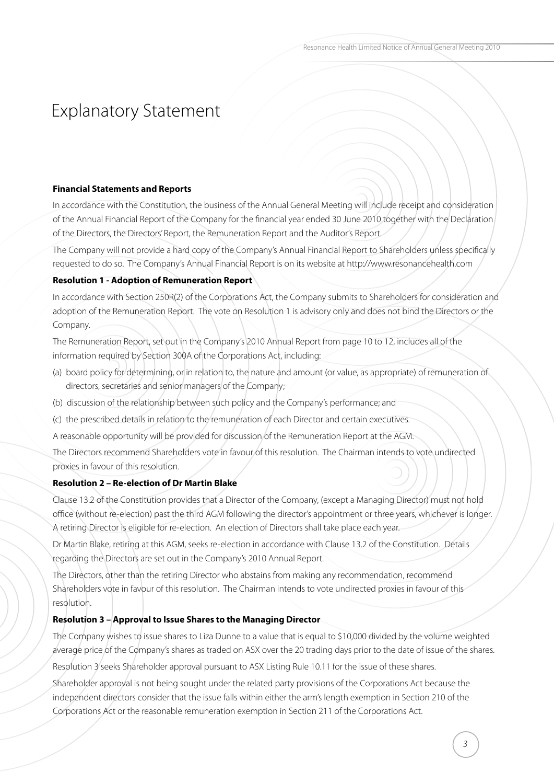# Explanatory Statement

### **Financial Statements and Reports**

In accordance with the Constitution, the business of the Annual General Meeting will include receipt and consideration of the Annual Financial Report of the Company for the financial year ended 30 June 2010 together with the Declaration of the Directors, the Directors' Report, the Remuneration Report and the Auditor's Report.

The Company will not provide a hard copy of the Company's Annual Financial Report to Shareholders unless specifically requested to do so. The Company's Annual Financial Report is on its website at http://www.resonancehealth.com

# **Resolution 1 - Adoption of Remuneration Report**

In accordance with Section 250R(2) of the Corporations Act, the Company submits to Shareholders for consideration and adoption of the Remuneration Report. The vote on Resolution 1 is advisory only and does not bind the Directors or the Company.

The Remuneration Report, set out in the Company's 2010 Annual Report from page 10 to 12, includes all of the information required by Section 300A of the Corporations Act, including:

- (a) board policy for determining, or in relation to, the nature and amount (or value, as appropriate) of remuneration of directors, secretaries and senior managers of the Company;
- (b) discussion of the relationship between such policy and the Company's performance; and
- (c) the prescribed details in relation to the remuneration of each Director and certain executives.

A reasonable opportunity will be provided for discussion of the Remuneration Report at the AGM.

The Directors recommend Shareholders vote in favour of this resolution. The Chairman intends to vote undirected proxies in favour of this resolution.

# **Resolution 2 – Re-election of Dr Martin Blake**

Clause 13.2 of the Constitution provides that a Director of the Company, (except a Managing Director) must not hold office (without re-election) past the third AGM following the director's appointment or three years, whichever is longer. A retiring Director is eligible for re-election. An election of Directors shall take place each year.

Dr Martin Blake, retiring at this AGM, seeks re-election in accordance with Clause 13.2 of the Constitution. Details regarding the Directors are set out in the Company's 2010 Annual Report.

The Directors, other than the retiring Director who abstains from making any recommendation, recommend Shareholders vote in favour of this resolution. The Chairman intends to vote undirected proxies in favour of this resolution.

# **Resolution 3 – Approval to Issue Shares to the Managing Director**

The Company wishes to issue shares to Liza Dunne to a value that is equal to \$10,000 divided by the volume weighted average price of the Company's shares as traded on ASX over the 20 trading days prior to the date of issue of the shares. Resolution 3 seeks Shareholder approval pursuant to ASX Listing Rule 10.11 for the issue of these shares.

Shareholder approval is not being sought under the related party provisions of the Corporations Act because the independent directors consider that the issue falls within either the arm's length exemption in Section 210 of the Corporations Act or the reasonable remuneration exemption in Section 211 of the Corporations Act.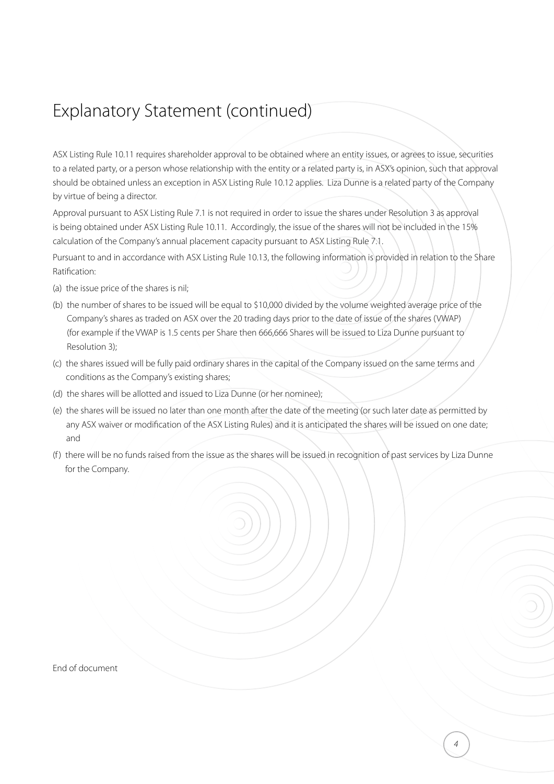# Explanatory Statement (continued)

ASX Listing Rule 10.11 requires shareholder approval to be obtained where an entity issues, or agrees to issue, securities to a related party, or a person whose relationship with the entity or a related party is, in ASX's opinion, such that approval should be obtained unless an exception in ASX Listing Rule 10.12 applies. Liza Dunne is a related party of the Company by virtue of being a director.

Approval pursuant to ASX Listing Rule 7.1 is not required in order to issue the shares under Resolution 3 as approval is being obtained under ASX Listing Rule 10.11. Accordingly, the issue of the shares will not be included in the 15% calculation of the Company's annual placement capacity pursuant to ASX Listing Rule 7.1.

Pursuant to and in accordance with ASX Listing Rule 10.13, the following information is provided in relation to the Share Ratification:

- (a) the issue price of the shares is nil;
- (b) the number of shares to be issued will be equal to \$10,000 divided by the volume weighted average price of the Company's shares as traded on ASX over the 20 trading days prior to the date of issue of the shares (VWAP) (for example if the VWAP is 1.5 cents per Share then 666,666 Shares will be issued to Liza Dunne pursuant to Resolution 3);
- (c) the shares issued will be fully paid ordinary shares in the capital of the Company issued on the same terms and conditions as the Company's existing shares;
- (d) the shares will be allotted and issued to Liza Dunne (or her nominee);
- (e) the shares will be issued no later than one month after the date of the meeting (or such later date as permitted by any ASX waiver or modification of the ASX Listing Rules) and it is anticipated the shares will be issued on one date; and
- (f) there will be no funds raised from the issue as the shares will be issued in recognition of past services by Liza Dunne for the Company.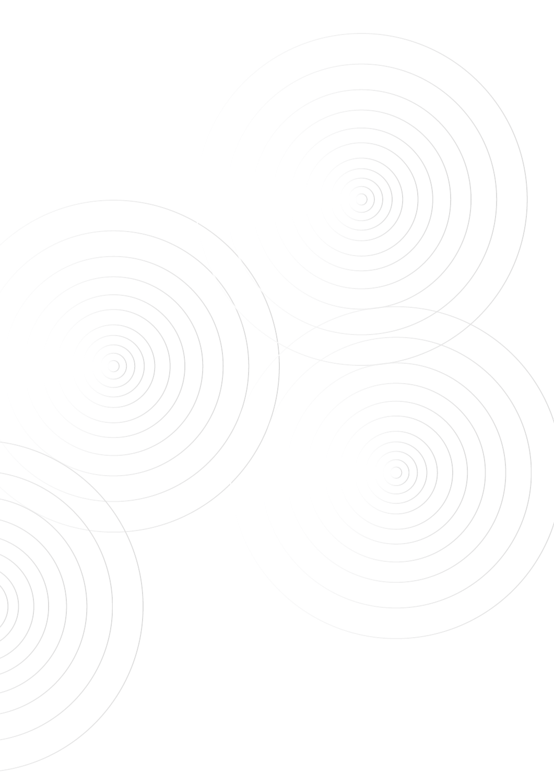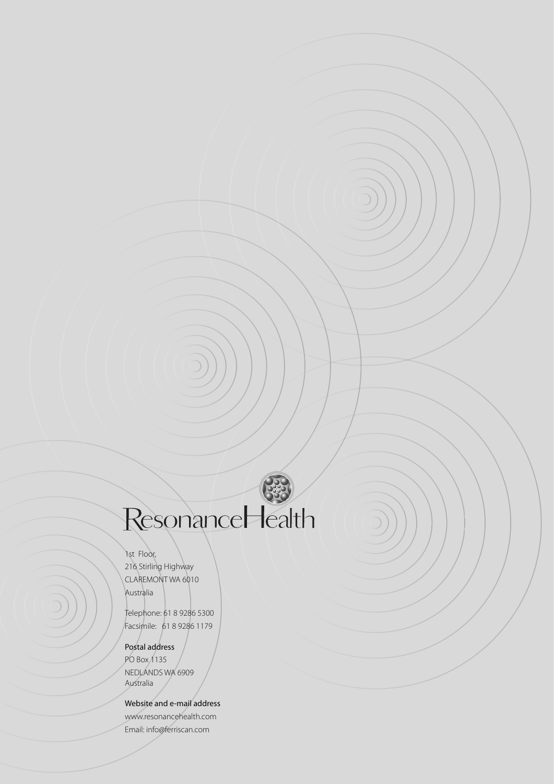# ResonanceHealth

1st Floor, 216 Stirling Highway CLAREMONT WA 6010 Australia

Telephone: 61 8 9286 5300 Facsimile: 61 8 9286 1179

# Postal address

PO Box 1135 NEDLANDS WA 6909 Australia

Website and e-mail address

www.resonancehealth.com Email: info@ferriscan.com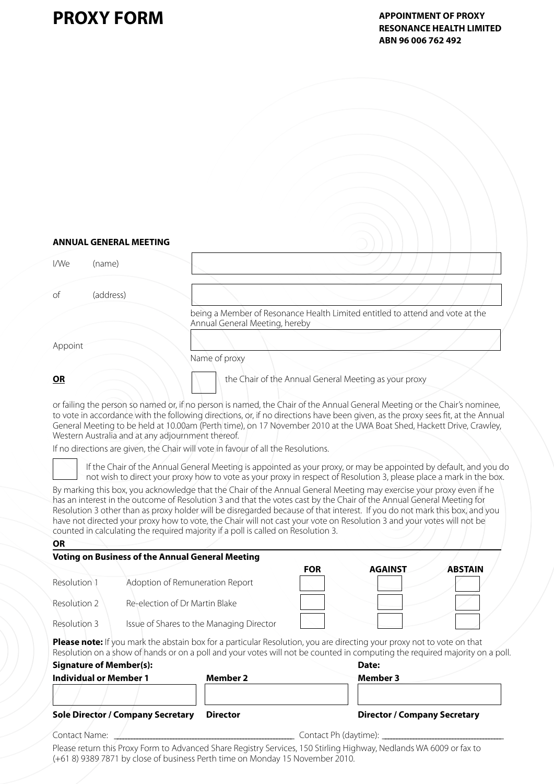# **PROXY FORM APPOINTMENT OF PROXY**

|                               | ANNUAL GENERAL MEETING                                                                                                                                                                                                                                                                                                                                                                                                                                                                                                                                                                                                                                                                                                                                                                                                                                                                                                                                                                                                                                                                                    |                                                                                                                 |            |                                                       |                |
|-------------------------------|-----------------------------------------------------------------------------------------------------------------------------------------------------------------------------------------------------------------------------------------------------------------------------------------------------------------------------------------------------------------------------------------------------------------------------------------------------------------------------------------------------------------------------------------------------------------------------------------------------------------------------------------------------------------------------------------------------------------------------------------------------------------------------------------------------------------------------------------------------------------------------------------------------------------------------------------------------------------------------------------------------------------------------------------------------------------------------------------------------------|-----------------------------------------------------------------------------------------------------------------|------------|-------------------------------------------------------|----------------|
| I/We                          | (name)                                                                                                                                                                                                                                                                                                                                                                                                                                                                                                                                                                                                                                                                                                                                                                                                                                                                                                                                                                                                                                                                                                    |                                                                                                                 |            |                                                       |                |
| оf                            | (address)                                                                                                                                                                                                                                                                                                                                                                                                                                                                                                                                                                                                                                                                                                                                                                                                                                                                                                                                                                                                                                                                                                 |                                                                                                                 |            |                                                       |                |
|                               |                                                                                                                                                                                                                                                                                                                                                                                                                                                                                                                                                                                                                                                                                                                                                                                                                                                                                                                                                                                                                                                                                                           | being a Member of Resonance Health Limited entitled to attend and vote at the<br>Annual General Meeting, hereby |            |                                                       |                |
| Appoint                       |                                                                                                                                                                                                                                                                                                                                                                                                                                                                                                                                                                                                                                                                                                                                                                                                                                                                                                                                                                                                                                                                                                           |                                                                                                                 |            |                                                       |                |
|                               |                                                                                                                                                                                                                                                                                                                                                                                                                                                                                                                                                                                                                                                                                                                                                                                                                                                                                                                                                                                                                                                                                                           | Name of proxy                                                                                                   |            |                                                       |                |
| OR                            |                                                                                                                                                                                                                                                                                                                                                                                                                                                                                                                                                                                                                                                                                                                                                                                                                                                                                                                                                                                                                                                                                                           |                                                                                                                 |            | the Chair of the Annual General Meeting as your proxy |                |
| <b>OR</b>                     | General Meeting to be held at 10.00am (Perth time), on 17 November 2010 at the UWA Boat Shed, Hackett Drive, Crawley,<br>Western Australia and at any adjournment thereof.<br>If no directions are given, the Chair will vote in favour of all the Resolutions.<br>If the Chair of the Annual General Meeting is appointed as your proxy, or may be appointed by default, and you do<br>not wish to direct your proxy how to vote as your proxy in respect of Resolution 3, please place a mark in the box.<br>By marking this box, you acknowledge that the Chair of the Annual General Meeting may exercise your proxy even if he<br>has an interest in the outcome of Resolution 3 and that the votes cast by the Chair of the Annual General Meeting for<br>Resolution 3 other than as proxy holder will be disregarded because of that interest. If you do not mark this box, and you<br>have not directed your proxy how to vote, the Chair will not cast your vote on Resolution 3 and your votes will not be<br>counted in calculating the required majority if a poll is called on Resolution 3. |                                                                                                                 |            |                                                       |                |
|                               | <b>Voting on Business of the Annual General Meeting</b>                                                                                                                                                                                                                                                                                                                                                                                                                                                                                                                                                                                                                                                                                                                                                                                                                                                                                                                                                                                                                                                   |                                                                                                                 | <b>FOR</b> | <b>AGAINST</b>                                        | <b>ABSTAIN</b> |
| Resolution 1                  | Adoption of Remuneration Report                                                                                                                                                                                                                                                                                                                                                                                                                                                                                                                                                                                                                                                                                                                                                                                                                                                                                                                                                                                                                                                                           |                                                                                                                 |            |                                                       |                |
| Resolution 2                  | Re-election of Dr Martin Blake                                                                                                                                                                                                                                                                                                                                                                                                                                                                                                                                                                                                                                                                                                                                                                                                                                                                                                                                                                                                                                                                            |                                                                                                                 |            |                                                       |                |
| Resolution 3                  |                                                                                                                                                                                                                                                                                                                                                                                                                                                                                                                                                                                                                                                                                                                                                                                                                                                                                                                                                                                                                                                                                                           | Issue of Shares to the Managing Director                                                                        |            |                                                       |                |
|                               | Please note: If you mark the abstain box for a particular Resolution, you are directing your proxy not to vote on that<br>Resolution on a show of hands or on a poll and your votes will not be counted in computing the required majority on a poll                                                                                                                                                                                                                                                                                                                                                                                                                                                                                                                                                                                                                                                                                                                                                                                                                                                      |                                                                                                                 |            |                                                       |                |
|                               | <b>Signature of Member(s):</b>                                                                                                                                                                                                                                                                                                                                                                                                                                                                                                                                                                                                                                                                                                                                                                                                                                                                                                                                                                                                                                                                            |                                                                                                                 |            | Date:                                                 |                |
| <b>Individual or Member 1</b> |                                                                                                                                                                                                                                                                                                                                                                                                                                                                                                                                                                                                                                                                                                                                                                                                                                                                                                                                                                                                                                                                                                           | <b>Member 2</b>                                                                                                 |            | <b>Member 3</b>                                       |                |
|                               |                                                                                                                                                                                                                                                                                                                                                                                                                                                                                                                                                                                                                                                                                                                                                                                                                                                                                                                                                                                                                                                                                                           |                                                                                                                 |            |                                                       |                |
|                               | <b>Sole Director / Company Secretary</b>                                                                                                                                                                                                                                                                                                                                                                                                                                                                                                                                                                                                                                                                                                                                                                                                                                                                                                                                                                                                                                                                  | <b>Director</b>                                                                                                 |            | <b>Director / Company Secretary</b>                   |                |
| Contact Name:                 | Please return this Proxy Form to Advanced Share Registry Services, 150 Stirling Highway, Nedlands WA 6009 or fax to<br>(+61 8) 9389 7871 by close of business Perth time on Monday 15 November 2010.                                                                                                                                                                                                                                                                                                                                                                                                                                                                                                                                                                                                                                                                                                                                                                                                                                                                                                      |                                                                                                                 |            | Contact Ph (daytime): ______________                  |                |